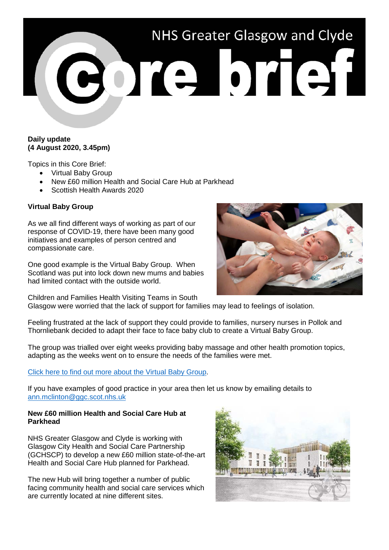

# **Daily update (4 August 2020, 3.45pm)**

Topics in this Core Brief:

- Virtual Baby Group
- New £60 million Health and Social Care Hub at Parkhead
- Scottish Health Awards 2020

# **Virtual Baby Group**

As we all find different ways of working as part of our response of COVID-19, there have been many good initiatives and examples of person centred and compassionate care.

One good example is the Virtual Baby Group. When Scotland was put into lock down new mums and babies had limited contact with the outside world.

Children and Families Health Visiting Teams in South Glasgow were worried that the lack of support for families may lead to feelings of isolation.

Feeling frustrated at the lack of support they could provide to families, nursery nurses in Pollok and Thornliebank decided to adapt their face to face baby club to create a Virtual Baby Group.

The group was trialled over eight weeks providing baby massage and other health promotion topics, adapting as the weeks went on to ensure the needs of the families were met.

#### [Click here to find out more about the Virtual Baby Group.](http://www.nhsggc.org.uk/sharingbestpractice)

If you have examples of good practice in your area then let us know by emailing details to [ann.mclinton@ggc.scot.nhs.uk](mailto:ann.mclinton@ggc.scot.nhs.uk)

## **New £60 million Health and Social Care Hub at Parkhead**

NHS Greater Glasgow and Clyde is working with Glasgow City Health and Social Care Partnership (GCHSCP) to develop a new £60 million state-of-the-art Health and Social Care Hub planned for Parkhead.

The new Hub will bring together a number of public facing community health and social care services which are currently located at nine different sites.